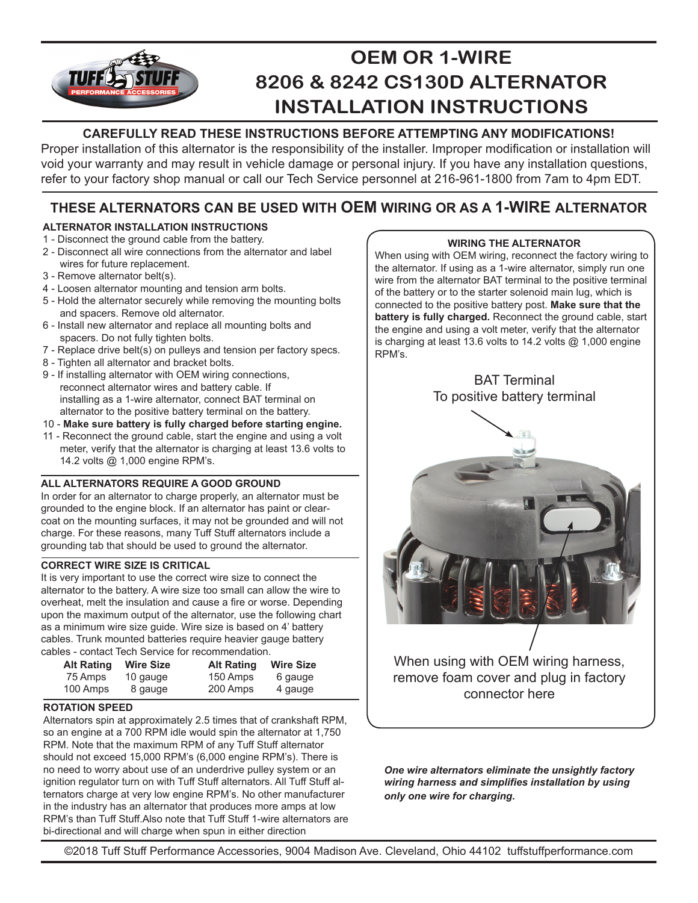# **OEM OR 1-WIRE TUFF® 8206 & 8242 CS130D ALTERNATOR INSTALLATION INSTRUCTIONS**

## **CAREFULLY READ THESE INSTRUCTIONS BEFORE ATTEMPTING ANY MODIFICATIONS!**

Proper installation of this alternator is the responsibility of the installer. Improper modification or installation will void your warranty and may result in vehicle damage or personal injury. If you have any installation questions, refer to your factory shop manual or call our Tech Service personnel at 216-961-1800 from 7am to 4pm EDT.

## **THESE ALTERNATORS CAN BE USED WITH OEM WIRING OR AS A 1-WIRE ALTERNATOR**

### **ALTERNATOR INSTALLATION INSTRUCTIONS**

- 1 Disconnect the ground cable from the battery.
- 2 Disconnect all wire connections from the alternator and label wires for future replacement.
- 3 Remove alternator belt(s).
- 4 Loosen alternator mounting and tension arm bolts.
- 5 Hold the alternator securely while removing the mounting bolts and spacers. Remove old alternator.
- 6 Install new alternator and replace all mounting bolts and spacers. Do not fully tighten bolts.
- 7 Replace drive belt(s) on pulleys and tension per factory specs.
- 8 Tighten all alternator and bracket bolts.
- 9 If installing alternator with OEM wiring connections, reconnect alternator wires and battery cable. If installing as a 1-wire alternator, connect BAT terminal on alternator to the positive battery terminal on the battery.
- 10 **Make sure battery is fully charged before starting engine.**
- 11 Reconnect the ground cable, start the engine and using a volt meter, verify that the alternator is charging at least 13.6 volts to 14.2 volts @ 1,000 engine RPM's.

#### **ALL ALTERNATORS REQUIRE A GOOD GROUND**

In order for an alternator to charge properly, an alternator must be grounded to the engine block. If an alternator has paint or clearcoat on the mounting surfaces, it may not be grounded and will not charge. For these reasons, many Tuff Stuff alternators include a grounding tab that should be used to ground the alternator.

#### **CORRECT WIRE SIZE IS CRITICAL**

It is very important to use the correct wire size to connect the alternator to the battery. A wire size too small can allow the wire to overheat, melt the insulation and cause a fire or worse. Depending upon the maximum output of the alternator, use the following chart as a minimum wire size guide. Wire size is based on 4' battery cables. Trunk mounted batteries require heavier gauge battery cables - contact Tech Service for recommendation.

| <b>Alt Rating</b> | <b>Wire Size</b> | <b>Alt Rating</b> | <b>Wire Size</b> |  |
|-------------------|------------------|-------------------|------------------|--|
| 75 Amps           | 10 gauge         | 150 Amps          | 6 gauge          |  |
| 100 Amps          | 8 gauge          | 200 Amps          | 4 gauge          |  |

#### **ROTATION SPEED**

Alternators spin at approximately 2.5 times that of crankshaft RPM, so an engine at a 700 RPM idle would spin the alternator at 1,750 RPM. Note that the maximum RPM of any Tuff Stuff alternator should not exceed 15,000 RPM's (6,000 engine RPM's). There is no need to worry about use of an underdrive pulley system or an ignition regulator turn on with Tuff Stuff alternators. All Tuff Stuff alternators charge at very low engine RPM's. No other manufacturer in the industry has an alternator that produces more amps at low RPM's than Tuff Stuff.Also note that Tuff Stuff 1-wire alternators are bi-directional and will charge when spun in either direction

#### **WIRING THE ALTERNATOR**

When using with OEM wiring, reconnect the factory wiring to the alternator. If using as a 1-wire alternator, simply run one wire from the alternator BAT terminal to the positive terminal of the battery or to the starter solenoid main lug, which is connected to the positive battery post. **Make sure that the battery is fully charged.** Reconnect the ground cable, start the engine and using a volt meter, verify that the alternator is charging at least 13.6 volts to 14.2 volts @ 1,000 engine RPM's.



connector here

*One wire alternators eliminate the unsightly factory wiring harness and simplifies installation by using only one wire for charging.*

©2018 Tuff Stuff Performance Accessories, 9004 Madison Ave. Cleveland, Ohio 44102 tuffstuffperformance.com